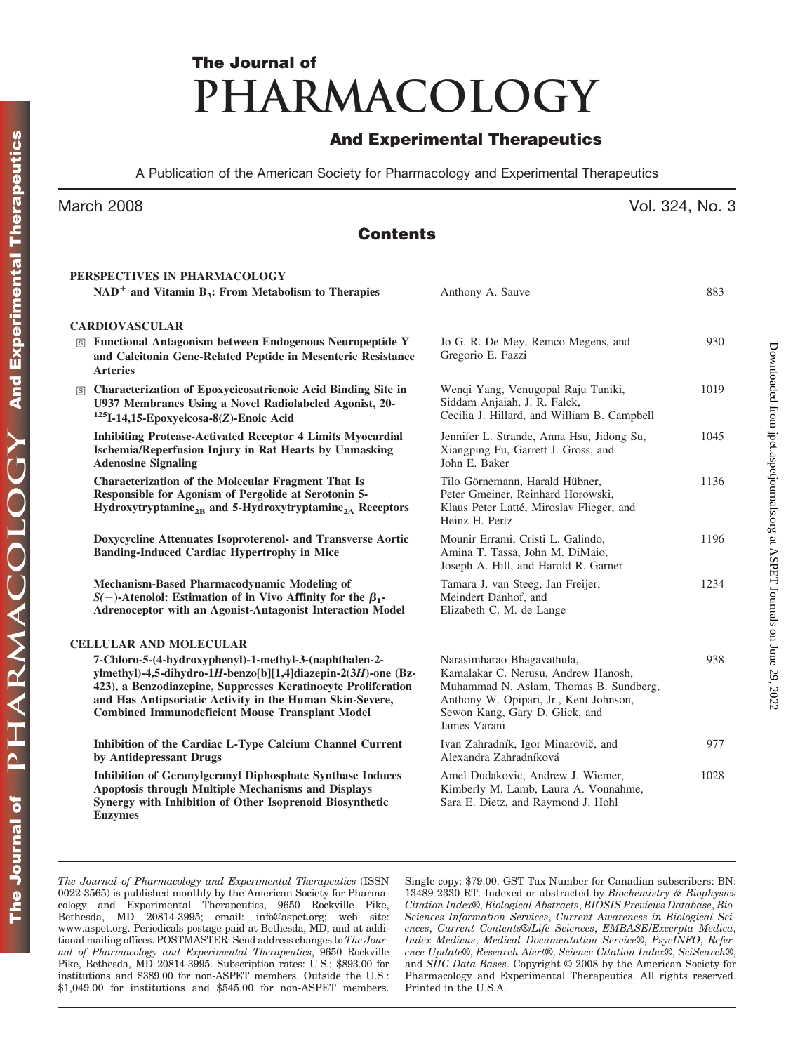# **The Journal of PHARMACOLOGY**

### **And Experimental Therapeutics**

A Publication of the American Society for Pharmacology and Experimental Therapeutics

### **Contents**

| PERSPECTIVES IN PHARMACOLOGY                                                                                                                                                                                                                                                                                   |                                                                                                                                                                                                         |      |
|----------------------------------------------------------------------------------------------------------------------------------------------------------------------------------------------------------------------------------------------------------------------------------------------------------------|---------------------------------------------------------------------------------------------------------------------------------------------------------------------------------------------------------|------|
| $NAD+$ and Vitamin B <sub>3</sub> : From Metabolism to Therapies                                                                                                                                                                                                                                               | Anthony A. Sauve                                                                                                                                                                                        | 883  |
| <b>CARDIOVASCULAR</b>                                                                                                                                                                                                                                                                                          |                                                                                                                                                                                                         |      |
| <b>S Functional Antagonism between Endogenous Neuropeptide Y</b><br>and Calcitonin Gene-Related Peptide in Mesenteric Resistance<br><b>Arteries</b>                                                                                                                                                            | Jo G. R. De Mey, Remco Megens, and<br>Gregorio E. Fazzi                                                                                                                                                 | 930  |
| S Characterization of Epoxyeicosatrienoic Acid Binding Site in<br>U937 Membranes Using a Novel Radiolabeled Agonist, 20-<br>$125$ I-14,15-Epoxyeicosa-8(Z)-Enoic Acid                                                                                                                                          | Wenqi Yang, Venugopal Raju Tuniki,<br>Siddam Anjaiah, J. R. Falck,<br>Cecilia J. Hillard, and William B. Campbell                                                                                       | 1019 |
| <b>Inhibiting Protease-Activated Receptor 4 Limits Myocardial</b><br>Ischemia/Reperfusion Injury in Rat Hearts by Unmasking<br><b>Adenosine Signaling</b>                                                                                                                                                      | Jennifer L. Strande, Anna Hsu, Jidong Su,<br>Xiangping Fu, Garrett J. Gross, and<br>John E. Baker                                                                                                       | 1045 |
| <b>Characterization of the Molecular Fragment That Is</b><br>Responsible for Agonism of Pergolide at Serotonin 5-<br>$Hydroxytryptamine2B$ and 5-Hydroxytryptamine <sub>2A</sub> Receptors                                                                                                                     | Tilo Görnemann, Harald Hübner,<br>Peter Gmeiner, Reinhard Horowski,<br>Klaus Peter Latté, Miroslav Flieger, and<br>Heinz H. Pertz                                                                       | 1136 |
| Doxycycline Attenuates Isoproterenol- and Transverse Aortic<br><b>Banding-Induced Cardiac Hypertrophy in Mice</b>                                                                                                                                                                                              | Mounir Errami, Cristi L. Galindo,<br>Amina T. Tassa, John M. DiMaio,<br>Joseph A. Hill, and Harold R. Garner                                                                                            | 1196 |
| Mechanism-Based Pharmacodynamic Modeling of<br>$S(-)$ -Atenolol: Estimation of in Vivo Affinity for the $\beta_1$ -<br>Adrenoceptor with an Agonist-Antagonist Interaction Model                                                                                                                               | Tamara J. van Steeg, Jan Freijer,<br>Meindert Danhof, and<br>Elizabeth C. M. de Lange                                                                                                                   | 1234 |
| <b>CELLULAR AND MOLECULAR</b>                                                                                                                                                                                                                                                                                  |                                                                                                                                                                                                         |      |
| 7-Chloro-5-(4-hydroxyphenyl)-1-methyl-3-(naphthalen-2-<br>ylmethyl)-4,5-dihydro-1H-benzo[b][1,4]diazepin-2(3H)-one (Bz-<br>423), a Benzodiazepine, Suppresses Keratinocyte Proliferation<br>and Has Antipsoriatic Activity in the Human Skin-Severe,<br><b>Combined Immunodeficient Mouse Transplant Model</b> | Narasimharao Bhagavathula,<br>Kamalakar C. Nerusu, Andrew Hanosh,<br>Muhammad N. Aslam, Thomas B. Sundberg,<br>Anthony W. Opipari, Jr., Kent Johnson,<br>Sewon Kang, Gary D. Glick, and<br>James Varani | 938  |
| Inhibition of the Cardiac L-Type Calcium Channel Current<br>by Antidepressant Drugs                                                                                                                                                                                                                            | Ivan Zahradník, Igor Minarovič, and<br>Alexandra Zahradníková                                                                                                                                           | 977  |
| <b>Inhibition of Geranylgeranyl Diphosphate Synthase Induces</b><br>Apoptosis through Multiple Mechanisms and Displays<br>Synergy with Inhibition of Other Isoprenoid Biosynthetic<br><b>Enzymes</b>                                                                                                           | Amel Dudakovic, Andrew J. Wiemer,<br>Kimberly M. Lamb, Laura A. Vonnahme,<br>Sara E. Dietz, and Raymond J. Hohl                                                                                         | 1028 |

*The Journal of Pharmacology and Experimental Therapeutics* (ISSN 0022-3565) is published monthly by the American Society for Pharmacology and Experimental Therapeutics, 9650 Rockville Pike, Bethesda, MD 20814-3995; email: info@aspet.org; web site: www.aspet.org. Periodicals postage paid at Bethesda, MD, and at additional mailing offices. POSTMASTER: Send address changes to *The Journal of Pharmacology and Experimental Therapeutics*, 9650 Rockville Pike, Bethesda, MD 20814-3995. Subscription rates: U.S.: \$893.00 for institutions and \$389.00 for non-ASPET members. Outside the U.S.: \$1,049.00 for institutions and \$545.00 for non-ASPET members. Single copy: \$79.00. GST Tax Number for Canadian subscribers: BN: 13489 2330 RT. Indexed or abstracted by *Biochemistry & Biophysics Citation Index*®, *Biological Abstracts*, *BIOSIS Previews Database*, *Bio-Sciences Information Services*, *Current Awareness in Biological Sciences*, *Current Contents*®/*Life Sciences*, *EMBASE/Excerpta Medica*, *Index Medicus*, *Medical Documentation Service*®, *PsycINFO*, *Reference Update*®, *Research Alert*®, *Science Citation Index*®, *SciSearch*®, and *SIIC Data Bases*. Copyright © 2008 by the American Society for Pharmacology and Experimental Therapeutics. All rights reserved. Printed in the U.S.A.

## March 2008 **Vol. 324, No. 3**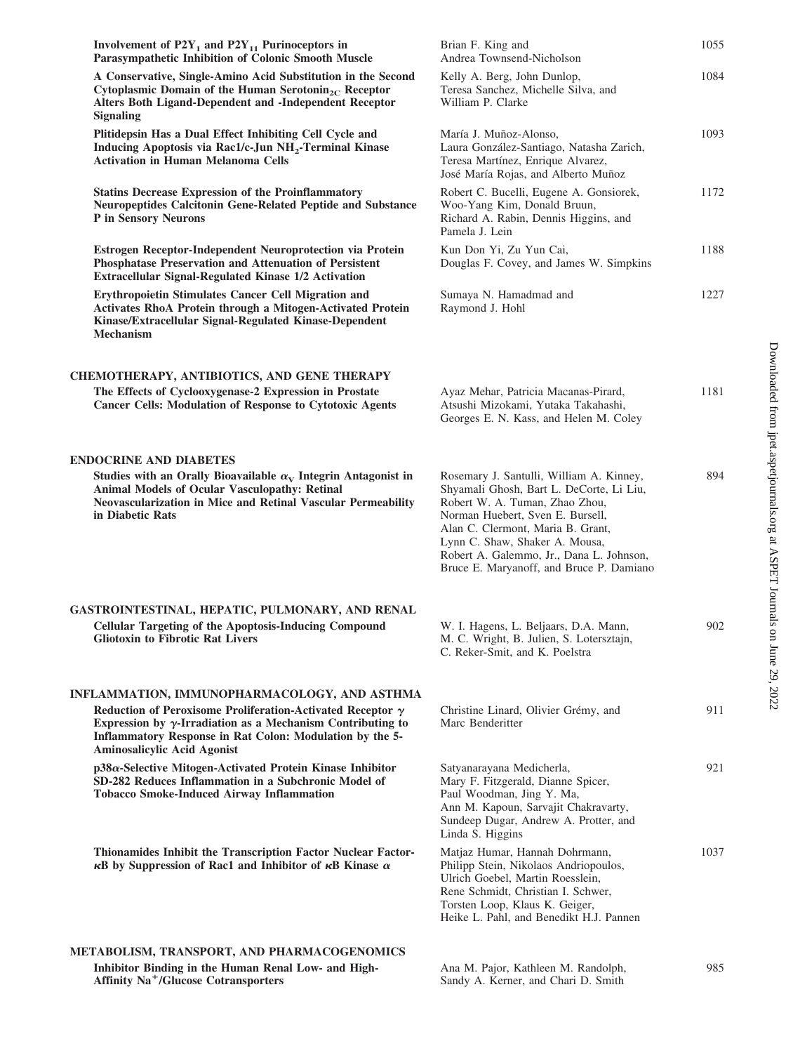| Involvement of $P2Y_1$ and $P2Y_{11}$ Purinoceptors in<br>Parasympathetic Inhibition of Colonic Smooth Muscle                                                                                                                             | Brian F. King and<br>Andrea Townsend-Nicholson                                                                                                                                                                                                                                                                            | 1055 |
|-------------------------------------------------------------------------------------------------------------------------------------------------------------------------------------------------------------------------------------------|---------------------------------------------------------------------------------------------------------------------------------------------------------------------------------------------------------------------------------------------------------------------------------------------------------------------------|------|
| A Conservative, Single-Amino Acid Substitution in the Second<br>Cytoplasmic Domain of the Human Serotonin <sub>2C</sub> Receptor<br>Alters Both Ligand-Dependent and -Independent Receptor<br><b>Signaling</b>                            | Kelly A. Berg, John Dunlop,<br>Teresa Sanchez, Michelle Silva, and<br>William P. Clarke                                                                                                                                                                                                                                   | 1084 |
| Plitidepsin Has a Dual Effect Inhibiting Cell Cycle and<br>Inducing Apoptosis via Rac1/c-Jun NH <sub>2</sub> -Terminal Kinase<br><b>Activation in Human Melanoma Cells</b>                                                                | María J. Muñoz-Alonso,<br>Laura González-Santiago, Natasha Zarich,<br>Teresa Martínez, Enrique Alvarez,<br>José María Rojas, and Alberto Muñoz                                                                                                                                                                            | 1093 |
| <b>Statins Decrease Expression of the Proinflammatory</b><br><b>Neuropeptides Calcitonin Gene-Related Peptide and Substance</b><br>P in Sensory Neurons                                                                                   | Robert C. Bucelli, Eugene A. Gonsiorek,<br>Woo-Yang Kim, Donald Bruun,<br>Richard A. Rabin, Dennis Higgins, and<br>Pamela J. Lein                                                                                                                                                                                         | 1172 |
| Estrogen Receptor-Independent Neuroprotection via Protein<br>Phosphatase Preservation and Attenuation of Persistent<br>Extracellular Signal-Regulated Kinase 1/2 Activation                                                               | Kun Don Yi, Zu Yun Cai,<br>Douglas F. Covey, and James W. Simpkins                                                                                                                                                                                                                                                        | 1188 |
| Erythropoietin Stimulates Cancer Cell Migration and<br>Activates RhoA Protein through a Mitogen-Activated Protein<br>Kinase/Extracellular Signal-Regulated Kinase-Dependent<br><b>Mechanism</b>                                           | Sumaya N. Hamadmad and<br>Raymond J. Hohl                                                                                                                                                                                                                                                                                 | 1227 |
| CHEMOTHERAPY, ANTIBIOTICS, AND GENE THERAPY                                                                                                                                                                                               |                                                                                                                                                                                                                                                                                                                           |      |
| The Effects of Cyclooxygenase-2 Expression in Prostate<br><b>Cancer Cells: Modulation of Response to Cytotoxic Agents</b>                                                                                                                 | Ayaz Mehar, Patricia Macanas-Pirard,<br>Atsushi Mizokami, Yutaka Takahashi,<br>Georges E. N. Kass, and Helen M. Coley                                                                                                                                                                                                     | 1181 |
| <b>ENDOCRINE AND DIABETES</b>                                                                                                                                                                                                             |                                                                                                                                                                                                                                                                                                                           |      |
| Studies with an Orally Bioavailable $\alpha_V$ Integrin Antagonist in<br>Animal Models of Ocular Vasculopathy: Retinal<br>Neovascularization in Mice and Retinal Vascular Permeability<br>in Diabetic Rats                                | Rosemary J. Santulli, William A. Kinney,<br>Shyamali Ghosh, Bart L. DeCorte, Li Liu,<br>Robert W. A. Tuman, Zhao Zhou,<br>Norman Huebert, Sven E. Bursell,<br>Alan C. Clermont, Maria B. Grant,<br>Lynn C. Shaw, Shaker A. Mousa,<br>Robert A. Galemmo, Jr., Dana L. Johnson,<br>Bruce E. Maryanoff, and Bruce P. Damiano | 894  |
| GASTROINTESTINAL, HEPATIC, PULMONARY, AND RENAL                                                                                                                                                                                           |                                                                                                                                                                                                                                                                                                                           |      |
| <b>Cellular Targeting of the Apoptosis-Inducing Compound</b><br><b>Gliotoxin to Fibrotic Rat Livers</b>                                                                                                                                   | W. I. Hagens, L. Beljaars, D.A. Mann,<br>M. C. Wright, B. Julien, S. Lotersztajn,<br>C. Reker-Smit, and K. Poelstra                                                                                                                                                                                                       | 902  |
| INFLAMMATION, IMMUNOPHARMACOLOGY, AND ASTHMA                                                                                                                                                                                              |                                                                                                                                                                                                                                                                                                                           |      |
| Reduction of Peroxisome Proliferation-Activated Receptor $\gamma$<br>Expression by $\gamma$ -Irradiation as a Mechanism Contributing to<br>Inflammatory Response in Rat Colon: Modulation by the 5-<br><b>Aminosalicylic Acid Agonist</b> | Christine Linard, Olivier Grémy, and<br>Marc Benderitter                                                                                                                                                                                                                                                                  | 911  |
| $p38\alpha$ -Selective Mitogen-Activated Protein Kinase Inhibitor<br>SD-282 Reduces Inflammation in a Subchronic Model of<br><b>Tobacco Smoke-Induced Airway Inflammation</b>                                                             | Satyanarayana Medicherla,<br>Mary F. Fitzgerald, Dianne Spicer,<br>Paul Woodman, Jing Y. Ma,<br>Ann M. Kapoun, Sarvajit Chakravarty,<br>Sundeep Dugar, Andrew A. Protter, and<br>Linda S. Higgins                                                                                                                         | 921  |
| Thionamides Inhibit the Transcription Factor Nuclear Factor-<br>$\kappa$ B by Suppression of Rac1 and Inhibitor of $\kappa$ B Kinase $\alpha$                                                                                             | Matjaz Humar, Hannah Dohrmann,<br>Philipp Stein, Nikolaos Andriopoulos,<br>Ulrich Goebel, Martin Roesslein,<br>Rene Schmidt, Christian I. Schwer,<br>Torsten Loop, Klaus K. Geiger,<br>Heike L. Pahl, and Benedikt H.J. Pannen                                                                                            | 1037 |
| METABOLISM, TRANSPORT, AND PHARMACOGENOMICS                                                                                                                                                                                               |                                                                                                                                                                                                                                                                                                                           |      |
| Inhibitor Binding in the Human Renal Low- and High-<br><b>Affinity Na<sup>+</sup>/Glucose Cotransporters</b>                                                                                                                              | Ana M. Pajor, Kathleen M. Randolph,<br>Sandy A. Kerner, and Chari D. Smith                                                                                                                                                                                                                                                | 985  |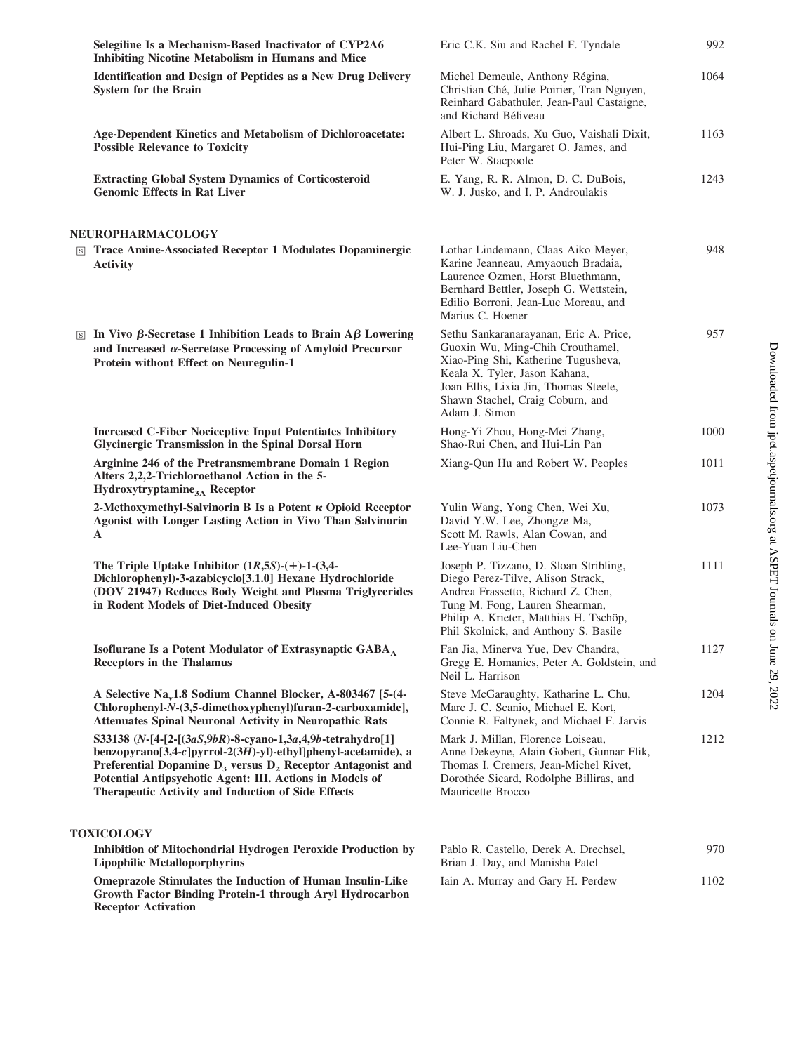| Selegiline Is a Mechanism-Based Inactivator of CYP2A6<br><b>Inhibiting Nicotine Metabolism in Humans and Mice</b>                                                                                                                                                                                                        | Eric C.K. Siu and Rachel F. Tyndale                                                                                                                                                                                                              | 992  |
|--------------------------------------------------------------------------------------------------------------------------------------------------------------------------------------------------------------------------------------------------------------------------------------------------------------------------|--------------------------------------------------------------------------------------------------------------------------------------------------------------------------------------------------------------------------------------------------|------|
| <b>Identification and Design of Peptides as a New Drug Delivery</b><br><b>System for the Brain</b>                                                                                                                                                                                                                       | Michel Demeule, Anthony Régina,<br>Christian Ché, Julie Poirier, Tran Nguyen,<br>Reinhard Gabathuler, Jean-Paul Castaigne,<br>and Richard Béliveau                                                                                               | 1064 |
| Age-Dependent Kinetics and Metabolism of Dichloroacetate:<br><b>Possible Relevance to Toxicity</b>                                                                                                                                                                                                                       | Albert L. Shroads, Xu Guo, Vaishali Dixit,<br>Hui-Ping Liu, Margaret O. James, and<br>Peter W. Stacpoole                                                                                                                                         | 1163 |
| <b>Extracting Global System Dynamics of Corticosteroid</b><br><b>Genomic Effects in Rat Liver</b>                                                                                                                                                                                                                        | E. Yang, R. R. Almon, D. C. DuBois,<br>W. J. Jusko, and I. P. Androulakis                                                                                                                                                                        | 1243 |
| NEUROPHARMACOLOGY                                                                                                                                                                                                                                                                                                        |                                                                                                                                                                                                                                                  |      |
| <b>S Trace Amine-Associated Receptor 1 Modulates Dopaminergic</b><br><b>Activity</b>                                                                                                                                                                                                                                     | Lothar Lindemann, Claas Aiko Meyer,<br>Karine Jeanneau, Amyaouch Bradaia,<br>Laurence Ozmen, Horst Bluethmann,<br>Bernhard Bettler, Joseph G. Wettstein,<br>Edilio Borroni, Jean-Luc Moreau, and<br>Marius C. Hoener                             | 948  |
| $\boxed{\text{s}}$ In Vivo $\beta$ -Secretase 1 Inhibition Leads to Brain A $\beta$ Lowering<br>and Increased $\alpha$ -Secretase Processing of Amyloid Precursor<br>Protein without Effect on Neuregulin-1                                                                                                              | Sethu Sankaranarayanan, Eric A. Price,<br>Guoxin Wu, Ming-Chih Crouthamel,<br>Xiao-Ping Shi, Katherine Tugusheva,<br>Keala X. Tyler, Jason Kahana,<br>Joan Ellis, Lixia Jin, Thomas Steele,<br>Shawn Stachel, Craig Coburn, and<br>Adam J. Simon | 957  |
| <b>Increased C-Fiber Nociceptive Input Potentiates Inhibitory</b><br><b>Glycinergic Transmission in the Spinal Dorsal Horn</b>                                                                                                                                                                                           | Hong-Yi Zhou, Hong-Mei Zhang,<br>Shao-Rui Chen, and Hui-Lin Pan                                                                                                                                                                                  | 1000 |
| Arginine 246 of the Pretransmembrane Domain 1 Region<br>Alters 2,2,2-Trichloroethanol Action in the 5-<br>Hydroxytryptamine <sub>3A</sub> Receptor                                                                                                                                                                       | Xiang-Qun Hu and Robert W. Peoples                                                                                                                                                                                                               | 1011 |
| 2-Methoxymethyl-Salvinorin B Is a Potent $\kappa$ Opioid Receptor<br>Agonist with Longer Lasting Action in Vivo Than Salvinorin<br>A                                                                                                                                                                                     | Yulin Wang, Yong Chen, Wei Xu,<br>David Y.W. Lee, Zhongze Ma,<br>Scott M. Rawls, Alan Cowan, and<br>Lee-Yuan Liu-Chen                                                                                                                            | 1073 |
| The Triple Uptake Inhibitor $(1R,5S)$ - $(+)$ -1- $(3,4-)$<br>Dichlorophenyl)-3-azabicyclo[3.1.0] Hexane Hydrochloride<br>(DOV 21947) Reduces Body Weight and Plasma Triglycerides<br>in Rodent Models of Diet-Induced Obesity                                                                                           | Joseph P. Tizzano, D. Sloan Stribling,<br>Diego Perez-Tilve, Alison Strack,<br>Andrea Frassetto, Richard Z. Chen,<br>Tung M. Fong, Lauren Shearman,<br>Philip A. Krieter, Matthias H. Tschöp,<br>Phil Skolnick, and Anthony S. Basile            | 1111 |
| Isoflurane Is a Potent Modulator of Extrasynaptic GABA <sub>A</sub><br><b>Receptors in the Thalamus</b>                                                                                                                                                                                                                  | Fan Jia, Minerva Yue, Dev Chandra,<br>Gregg E. Homanics, Peter A. Goldstein, and<br>Neil L. Harrison                                                                                                                                             | 1127 |
| A Selective Na <sub>v</sub> 1.8 Sodium Channel Blocker, A-803467 [5-(4-<br>Chlorophenyl-N-(3,5-dimethoxyphenyl)furan-2-carboxamide],<br><b>Attenuates Spinal Neuronal Activity in Neuropathic Rats</b>                                                                                                                   | Steve McGaraughty, Katharine L. Chu,<br>Marc J. C. Scanio, Michael E. Kort,<br>Connie R. Faltynek, and Michael F. Jarvis                                                                                                                         | 1204 |
| S33138 (N-[4-[2-[(3aS,9bR)-8-cyano-1,3a,4,9b-tetrahydro[1]<br>benzopyrano[3,4-c]pyrrol-2(3H)-yl)-ethyl]phenyl-acetamide), a<br>Preferential Dopamine $D_3$ versus $D_2$ Receptor Antagonist and<br>Potential Antipsychotic Agent: III. Actions in Models of<br><b>Therapeutic Activity and Induction of Side Effects</b> | Mark J. Millan, Florence Loiseau,<br>Anne Dekeyne, Alain Gobert, Gunnar Flik,<br>Thomas I. Cremers, Jean-Michel Rivet,<br>Dorothée Sicard, Rodolphe Billiras, and<br>Mauricette Brocco                                                           | 1212 |
| <b>TOXICOLOGY</b>                                                                                                                                                                                                                                                                                                        |                                                                                                                                                                                                                                                  |      |
| <b>Inhibition of Mitochondrial Hydrogen Peroxide Production by</b><br><b>Lipophilic Metalloporphyrins</b>                                                                                                                                                                                                                | Pablo R. Castello, Derek A. Drechsel,<br>Brian J. Day, and Manisha Patel                                                                                                                                                                         | 970  |
| Omeprazole Stimulates the Induction of Human Insulin-Like<br>Growth Factor Binding Protein-1 through Aryl Hydrocarbon                                                                                                                                                                                                    | Iain A. Murray and Gary H. Perdew                                                                                                                                                                                                                | 1102 |

**Receptor Activation**